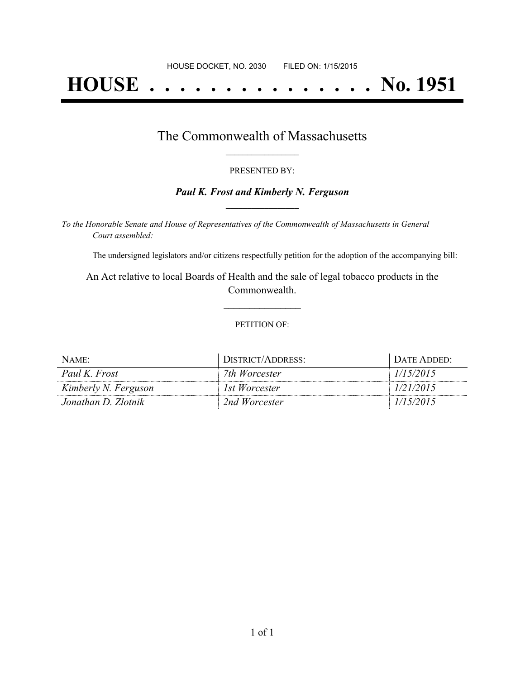# **HOUSE . . . . . . . . . . . . . . . No. 1951**

### The Commonwealth of Massachusetts **\_\_\_\_\_\_\_\_\_\_\_\_\_\_\_\_\_**

#### PRESENTED BY:

#### *Paul K. Frost and Kimberly N. Ferguson* **\_\_\_\_\_\_\_\_\_\_\_\_\_\_\_\_\_**

*To the Honorable Senate and House of Representatives of the Commonwealth of Massachusetts in General Court assembled:*

The undersigned legislators and/or citizens respectfully petition for the adoption of the accompanying bill:

An Act relative to local Boards of Health and the sale of legal tobacco products in the Commonwealth.

**\_\_\_\_\_\_\_\_\_\_\_\_\_\_\_**

#### PETITION OF:

| NAME:                | DISTRICT/ADDRESS: | DATE ADDED: |
|----------------------|-------------------|-------------|
| Paul K. Frost        | 7th Worcester     | 1/15/2015   |
| Kimberly N. Ferguson | 1st Worcester     | 1/21/2015   |
| Jonathan D. Zlotnik  | 2nd Worcester     | 1/15/2015   |